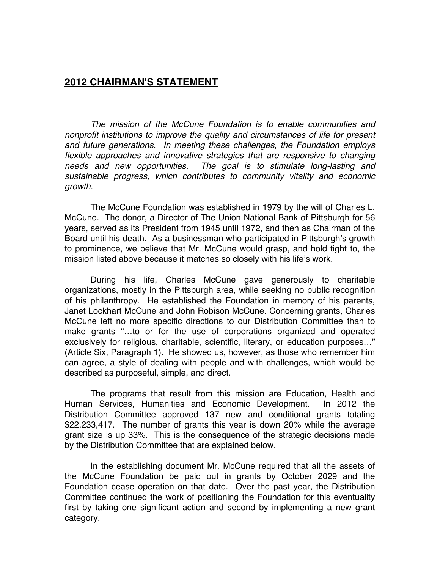## **2012 CHAIRMAN'S STATEMENT**

*The mission of the McCune Foundation is to enable communities and nonprofit institutions to improve the quality and circumstances of life for present and future generations. In meeting these challenges, the Foundation employs*  flexible approaches and innovative strategies that are responsive to changing *needs and new opportunities. The goal is to stimulate long-lasting and sustainable progress, which contributes to community vitality and economic growth.*

The McCune Foundation was established in 1979 by the will of Charles L. McCune. The donor, a Director of The Union National Bank of Pittsburgh for 56 years, served as its President from 1945 until 1972, and then as Chairman of the Board until his death. As a businessman who participated in Pittsburgh's growth to prominence, we believe that Mr. McCune would grasp, and hold tight to, the mission listed above because it matches so closely with his life's work.

During his life, Charles McCune gave generously to charitable organizations, mostly in the Pittsburgh area, while seeking no public recognition of his philanthropy. He established the Foundation in memory of his parents, Janet Lockhart McCune and John Robison McCune. Concerning grants, Charles McCune left no more specific directions to our Distribution Committee than to make grants "…to or for the use of corporations organized and operated exclusively for religious, charitable, scientific, literary, or education purposes…" (Article Six, Paragraph 1). He showed us, however, as those who remember him can agree, a style of dealing with people and with challenges, which would be described as purposeful, simple, and direct.

The programs that result from this mission are Education, Health and Human Services, Humanities and Economic Development. In 2012 the Distribution Committee approved 137 new and conditional grants totaling \$22,233,417. The number of grants this year is down 20% while the average grant size is up 33%. This is the consequence of the strategic decisions made by the Distribution Committee that are explained below.

In the establishing document Mr. McCune required that all the assets of the McCune Foundation be paid out in grants by October 2029 and the Foundation cease operation on that date. Over the past year, the Distribution Committee continued the work of positioning the Foundation for this eventuality first by taking one significant action and second by implementing a new grant category.